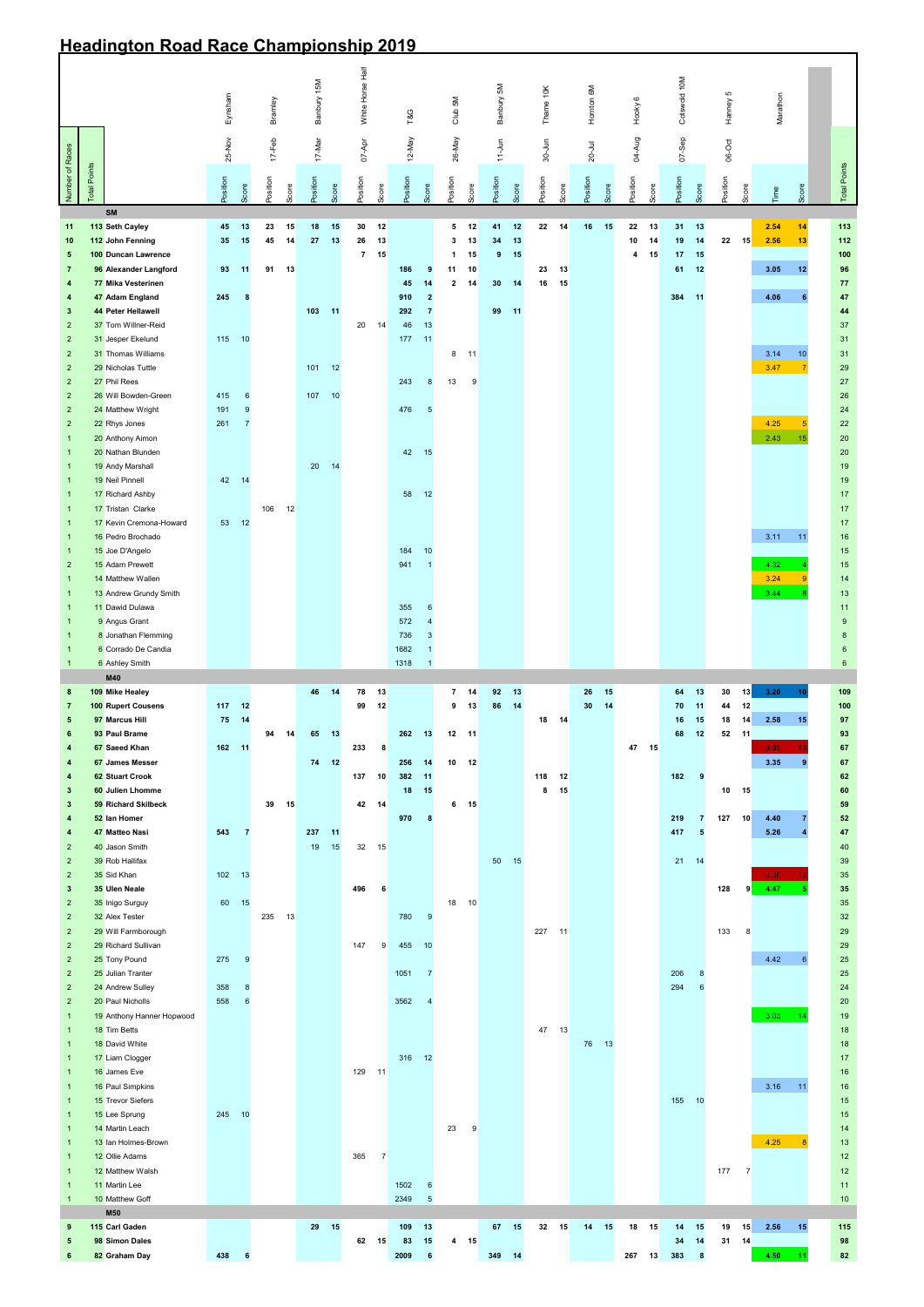## **Headington Road Race Championship 2019**

|                                                    |                     |                                              |         |                 |            |       |             |          | White Horse Half     |                 |                    |                      |                                       |                        |           |        |            |          |                    |          |              |          | 5        |                |              |                  |                     |
|----------------------------------------------------|---------------------|----------------------------------------------|---------|-----------------|------------|-------|-------------|----------|----------------------|-----------------|--------------------|----------------------|---------------------------------------|------------------------|-----------|--------|------------|----------|--------------------|----------|--------------|----------|----------|----------------|--------------|------------------|---------------------|
|                                                    |                     |                                              | Eynsham |                 | Bramley    |       | Banbury 15M |          |                      |                 | T&G                |                      | Club 5M                               | Banbury 5M             | Thame 10K |        | Hornton 6M |          | Hooky <sub>6</sub> |          | Cotswold 10M |          | Hanney   |                | Marathon     |                  |                     |
|                                                    |                     |                                              |         |                 |            |       |             |          |                      |                 |                    |                      |                                       |                        |           |        |            |          |                    |          |              |          |          |                |              |                  |                     |
|                                                    |                     |                                              | 25-Nov  |                 | $17 - Feb$ |       | 17-Mar      |          | $07 - Apr$           |                 | 12-May             |                      | 26-May                                | $11-Jun$               | 30-Jun    |        | $20 -$ Jul |          | 04-Aug             |          | $07 -$ Sep   |          | $06-Oct$ |                |              |                  |                     |
| Number of Races                                    | <b>Total Points</b> |                                              | hoition |                 | Position   |       | hoition     |          | hoities              |                 | Position           |                      | Position                              | hosition               | Position  |        | hosition   |          | Position           |          | Position     |          | hosition |                |              |                  | <b>Total Points</b> |
|                                                    |                     |                                              |         | Score           |            | Score |             | Score    |                      | Score           |                    | Score                | Score                                 |                        | Score     | Score  |            | Score    |                    | Score    |              | Score    |          | Score          | Time         | Score            |                     |
| 11                                                 |                     | <b>SM</b><br>113 Seth Cayley                 | 45      | 13              | 23         | 15    | 18          | 15       | 30                   | 12              |                    |                      | 5<br>12                               | 41                     | 12<br>22  | 14     | 16         | 15       | 22                 | 13       | 31           | 13       |          |                | 2.54         | 14               | 113                 |
| 10<br>$5\phantom{.0}$                              |                     | 112 John Fenning<br>100 Duncan Lawrence      | 35      | 15              | 45         | 14    | 27          | 13       | 26<br>$\overline{7}$ | 13<br>15        |                    |                      | 13<br>3<br>15<br>$\blacktriangleleft$ | 34<br>$\boldsymbol{9}$ | 13<br>15  |        |            |          | 10<br>4            | 14<br>15 | 19<br>17     | 14<br>15 | 22       | 15             | 2.56         | 13               | 112<br>100          |
| $\overline{7}$                                     |                     | 96 Alexander Langford                        | 93      | 11              | 91         | 13    |             |          |                      |                 | 186                | 9                    | 10<br>11                              |                        | 23        | 13     |            |          |                    |          | 61           | 12       |          |                | 3.05         | 12               | 96                  |
| $\overline{\mathbf{4}}$<br>$\overline{\mathbf{4}}$ |                     | 77 Mika Vesterinen<br>47 Adam England        | 245     | 8               |            |       |             |          |                      |                 | 45<br>910          | 14<br>$\overline{2}$ | $\mathbf{2}$<br>14                    | 30 <sub>o</sub>        | 14<br>16  | 15     |            |          |                    |          | 384          | $-11$    |          |                | 4.06         | 6                | 77<br>47            |
| $\mathbf{3}$                                       |                     | 44 Peter Hellawell                           |         |                 |            |       | 103         | $-11$    |                      |                 | 292                | $\overline{7}$       |                                       | 99<br>$-11$            |           |        |            |          |                    |          |              |          |          |                |              |                  | 44                  |
| 2 <sup>2</sup><br>2 <sup>1</sup>                   |                     | 37 Tom Willner-Reid<br>31 Jesper Ekelund     | 115     | 10              |            |       |             |          | 20                   | 14              | 46<br>$-11$<br>177 | 13                   |                                       |                        |           |        |            |          |                    |          |              |          |          |                |              |                  | 37<br>31            |
| $\overline{2}$                                     |                     | 31 Thomas Williams                           |         |                 |            |       |             |          |                      |                 |                    |                      | 8<br>11                               |                        |           |        |            |          |                    |          |              |          |          |                | 3.14         | $10$             | 31                  |
| 2 <sup>2</sup>                                     |                     | 29 Nicholas Tuttle                           |         |                 |            |       | 101         | 12       |                      |                 |                    |                      |                                       |                        |           |        |            |          |                    |          |              |          |          |                | 3.47         | $\overline{7}$   | 29                  |
| 2 <sup>2</sup><br>2 <sup>2</sup>                   |                     | 27 Phil Rees<br>26 Will Bowden-Green         | 415     | $6\phantom{1}6$ |            |       | 107         | 10       |                      |                 | 243                | 8                    | 13<br>9                               |                        |           |        |            |          |                    |          |              |          |          |                |              |                  | $27\,$<br>26        |
| $\overline{2}$                                     |                     | 24 Matthew Wright                            | 191     | 9               |            |       |             |          |                      |                 | 476                | $\sqrt{5}$           |                                       |                        |           |        |            |          |                    |          |              |          |          |                |              |                  | 24                  |
| 2 <sup>2</sup><br>$\mathbf{1}$                     |                     | 22 Rhys Jones<br>20 Anthony Aimon            | 261     | 7               |            |       |             |          |                      |                 |                    |                      |                                       |                        |           |        |            |          |                    |          |              |          |          |                | 4.25<br>2.43 | $\sqrt{5}$<br>15 | 22<br>20            |
| $\overline{1}$                                     |                     | 20 Nathan Blunden                            |         |                 |            |       |             |          |                      |                 | 42<br>15           |                      |                                       |                        |           |        |            |          |                    |          |              |          |          |                |              |                  | 20                  |
| $\mathbf{1}$<br>$\mathbf{1}$                       |                     | 19 Andy Marshall<br>19 Neil Pinnell          | 42      | 14              |            |       | 20          | 14       |                      |                 |                    |                      |                                       |                        |           |        |            |          |                    |          |              |          |          |                |              |                  | 19<br>19            |
| $\mathbf{1}$                                       |                     | 17 Richard Ashby                             |         |                 |            |       |             |          |                      |                 | 58                 | 12                   |                                       |                        |           |        |            |          |                    |          |              |          |          |                |              |                  | 17                  |
| $\mathbf{1}$                                       |                     | 17 Tristan Clarke                            |         |                 | 106        | 12    |             |          |                      |                 |                    |                      |                                       |                        |           |        |            |          |                    |          |              |          |          |                |              |                  | 17                  |
| $\mathbf{1}$<br>$\mathbf{1}$                       |                     | 17 Kevin Cremona-Howard<br>16 Pedro Brochado | 53      | 12              |            |       |             |          |                      |                 |                    |                      |                                       |                        |           |        |            |          |                    |          |              |          |          |                | 3.11         | 11               | 17<br>$16\,$        |
| $\mathbf{1}$                                       |                     | 15 Joe D'Angelo                              |         |                 |            |       |             |          |                      |                 | 184                | 10                   |                                       |                        |           |        |            |          |                    |          |              |          |          |                |              |                  | 15                  |
| $\overline{2}$<br>$\mathbf{1}$                     |                     | 15 Adam Prewett<br>14 Matthew Wallen         |         |                 |            |       |             |          |                      |                 | 941                | $\overline{1}$       |                                       |                        |           |        |            |          |                    |          |              |          |          |                | 4.32<br>3.24 | $\overline{9}$   | 15<br>14            |
| $\mathbf{1}$                                       |                     | 13 Andrew Grundy Smith                       |         |                 |            |       |             |          |                      |                 |                    |                      |                                       |                        |           |        |            |          |                    |          |              |          |          |                | 3.44         |                  | 13                  |
| $\mathbf{1}$<br>$\mathbf{1}$                       |                     | 11 Dawid Dulawa<br>9 Angus Grant             |         |                 |            |       |             |          |                      |                 | 355<br>572         | 6                    |                                       |                        |           |        |            |          |                    |          |              |          |          |                |              |                  | 11<br>9             |
| $\mathbf{1}$                                       |                     | 8 Jonathan Flemming                          |         |                 |            |       |             |          |                      |                 | 736                | 3                    |                                       |                        |           |        |            |          |                    |          |              |          |          |                |              |                  | 8                   |
| 1                                                  |                     | 6 Corrado De Candia                          |         |                 |            |       |             |          |                      |                 | 1682               |                      |                                       |                        |           |        |            |          |                    |          |              |          |          |                |              |                  | $\,6\,$             |
| $\mathbf{1}$                                       |                     | 6 Ashley Smith<br>M40                        |         |                 |            |       |             |          |                      |                 | 1318               |                      |                                       |                        |           |        |            |          |                    |          |              |          |          |                |              |                  | $6\phantom{.}6$     |
| 8<br>$\overline{7}$                                |                     | 109 Mike Healey<br>100 Rupert Cousens        | 117     | 12              |            |       | 46          | 14       | 78<br>99             | 13<br>12        |                    |                      | 14<br>$\overline{7}$<br>9<br>13       | 92<br>86               | 13<br>14  |        | 26<br>30   | 15<br>14 |                    |          | 64<br>70     | 13<br>11 | 30<br>44 | 13<br>12       | 3.20         | 10               | 109<br>100          |
| $5\phantom{.0}$                                    |                     | 97 Marcus Hill                               | 75      | 14              |            |       |             |          |                      |                 |                    |                      |                                       |                        |           | 18 14  |            |          |                    |          | 16           | 15       | 18       | 14             | 2.58         | 15               | 97                  |
| 6                                                  |                     | 93 Paul Brame<br>67 Saeed Khan               | 162 11  |                 | 94         | 14    | 65          | $-13$    |                      |                 | 262                | 13                   | $12 \qquad 11$                        |                        |           |        |            |          |                    | 15       | 68           | 12       | 52 11    |                | 3.05         | 13               | 93                  |
| 4<br>4                                             |                     | 67 James Messer                              |         |                 |            |       | 74          | 12       | 233                  | 8               | 256                | 14                   | 12<br>10                              |                        |           |        |            |          | 47                 |          |              |          |          |                | 3.35         | 9                | 67<br>67            |
| 4                                                  |                     | <b>62 Stuart Crook</b>                       |         |                 |            |       |             |          | 137                  | 10              | 382                | $-11$                |                                       |                        | 118       | 12     |            |          |                    |          | 182          | 9        |          |                |              |                  | 62                  |
| $\mathbf{3}$<br>$3\phantom{.0}$                    |                     | 60 Julien Lhomme<br>59 Richard Skilbeck      |         |                 | 39         | 15    |             |          | 42 14                |                 | 18                 | 15                   | 6<br>15                               |                        | 8         | 15     |            |          |                    |          |              |          | 10       | 15             |              |                  | 60<br>59            |
| 4                                                  |                     | 52 Ian Homer                                 |         |                 |            |       |             |          |                      |                 | 970                | 8                    |                                       |                        |           |        |            |          |                    |          | 219          | 7        | 127      | 10             | 4.40         |                  | 52                  |
| 4<br>2 <sup>2</sup>                                |                     | 47 Matteo Nasi<br>40 Jason Smith             | 543     | $\overline{7}$  |            |       | 237<br>19   | 11<br>15 | $32\,$               | 15              |                    |                      |                                       |                        |           |        |            |          |                    |          | 417          | 5        |          |                | 5.26         |                  | 47<br>40            |
| 2 <sup>2</sup>                                     |                     | 39 Rob Hallifax                              |         |                 |            |       |             |          |                      |                 |                    |                      |                                       | 50<br>15               |           |        |            |          |                    |          | 21           | 14       |          |                |              |                  | 39                  |
| $\overline{2}$<br>$\mathbf{3}$                     |                     | 35 Sid Khan<br>35 Ulen Neale                 | 102     | 13              |            |       |             |          | 496                  | $6\phantom{1}6$ |                    |                      |                                       |                        |           |        |            |          |                    |          |              |          | 128      | 9              | 3.06<br>4.47 |                  | 35<br>35            |
| 2 <sup>2</sup>                                     |                     | 35 Inigo Surguy                              | 60      | 15              |            |       |             |          |                      |                 |                    |                      | 18<br>10                              |                        |           |        |            |          |                    |          |              |          |          |                |              |                  | 35                  |
| 2 <sup>2</sup>                                     |                     | 32 Alex Tester                               |         |                 | 235        | 13    |             |          |                      |                 | 780                | 9                    |                                       |                        |           |        |            |          |                    |          |              |          |          |                |              |                  | 32                  |
| 2 <sup>2</sup><br>$2^{\circ}$                      |                     | 29 Will Farmborough<br>29 Richard Sullivan   |         |                 |            |       |             |          | 147                  | 9               | 455                | 10                   |                                       |                        |           | 227 11 |            |          |                    |          |              |          | 133      | 8              |              |                  | 29<br>29            |
| $2^{\circ}$                                        |                     |                                              |         |                 |            |       |             |          |                      |                 |                    |                      |                                       |                        |           |        |            |          |                    |          |              |          |          |                |              |                  |                     |
| $\overline{2}$<br>$\overline{2}$                   |                     | 25 Tony Pound                                | 275     | 9               |            |       |             |          |                      |                 |                    |                      |                                       |                        |           |        |            |          |                    |          |              |          |          |                | 4.42         | $6\overline{6}$  | 25                  |
| 2 <sup>2</sup>                                     |                     | 25 Julian Tranter<br>24 Andrew Sulley        | 358     | 8               |            |       |             |          |                      |                 | 1051               | $\overline{7}$       |                                       |                        |           |        |            |          |                    |          | 206<br>294   | 8<br>6   |          |                |              |                  | 25<br>24            |
|                                                    |                     | 20 Paul Nicholls                             | 558     | 6               |            |       |             |          |                      |                 | 3562               |                      |                                       |                        |           |        |            |          |                    |          |              |          |          |                |              |                  | 20                  |
| $\mathbf{1}$                                       |                     | 19 Anthony Hanner Hopwood                    |         |                 |            |       |             |          |                      |                 |                    |                      |                                       |                        |           |        |            |          |                    |          |              |          |          |                | 3.03         | 14               | 19                  |
| 1<br>$\mathbf{1}$                                  |                     | 18 Tim Betts<br>18 David White               |         |                 |            |       |             |          |                      |                 |                    |                      |                                       |                        |           | 47 13  | 76 13      |          |                    |          |              |          |          |                |              |                  | 18<br>18            |
| $\mathbf{1}$                                       |                     | 17 Liam Clogger                              |         |                 |            |       |             |          |                      |                 | 316 12             |                      |                                       |                        |           |        |            |          |                    |          |              |          |          |                |              |                  | 17                  |
| $\mathbf{1}$<br>$\mathbf{1}$                       |                     | 16 James Eve<br>16 Paul Simpkins             |         |                 |            |       |             |          | 129 11               |                 |                    |                      |                                       |                        |           |        |            |          |                    |          |              |          |          |                | 3.16         | 11               | 16<br>16            |
| $\mathbf{1}$                                       |                     | 15 Trevor Siefers                            |         |                 |            |       |             |          |                      |                 |                    |                      |                                       |                        |           |        |            |          |                    |          | 155          | 10       |          |                |              |                  | 15                  |
| $\mathbf{1}$<br>$\mathbf{1}$                       |                     | 15 Lee Sprung<br>14 Martin Leach             | 245 10  |                 |            |       |             |          |                      |                 |                    |                      | 23<br>$\overline{9}$                  |                        |           |        |            |          |                    |          |              |          |          |                |              |                  | 15<br>14            |
| $\mathbf{1}$                                       |                     | 13 Ian Holmes-Brown                          |         |                 |            |       |             |          |                      |                 |                    |                      |                                       |                        |           |        |            |          |                    |          |              |          |          |                | 4.25         |                  | 13                  |
| $\mathbf{1}$                                       |                     | 12 Ollie Adams                               |         |                 |            |       |             |          | 365                  | $\overline{7}$  |                    |                      |                                       |                        |           |        |            |          |                    |          |              |          |          |                |              |                  | 12                  |
| $\mathbf{1}$<br>$\mathbf{1}$                       |                     | 12 Matthew Walsh<br>11 Martin Lee            |         |                 |            |       |             |          |                      |                 | 1502               | $6\phantom{1}6$      |                                       |                        |           |        |            |          |                    |          |              |          | 177      | $\overline{7}$ |              |                  | $12$<br>11          |
| $\mathbf{1}$                                       |                     | 10 Matthew Goff                              |         |                 |            |       |             |          |                      |                 | 2349               | $5\phantom{.0}$      |                                       |                        |           |        |            |          |                    |          |              |          |          |                |              |                  | 10                  |
| 9                                                  |                     | <b>M50</b><br>115 Carl Gaden                 |         |                 |            |       |             | 29 15    |                      |                 | 109                | 13                   |                                       | 67 15                  |           | 32 15  | 14         | 15       | 18 15              |          | 14           | 15       | 19       | 15             | 2.56         | 15               | 115                 |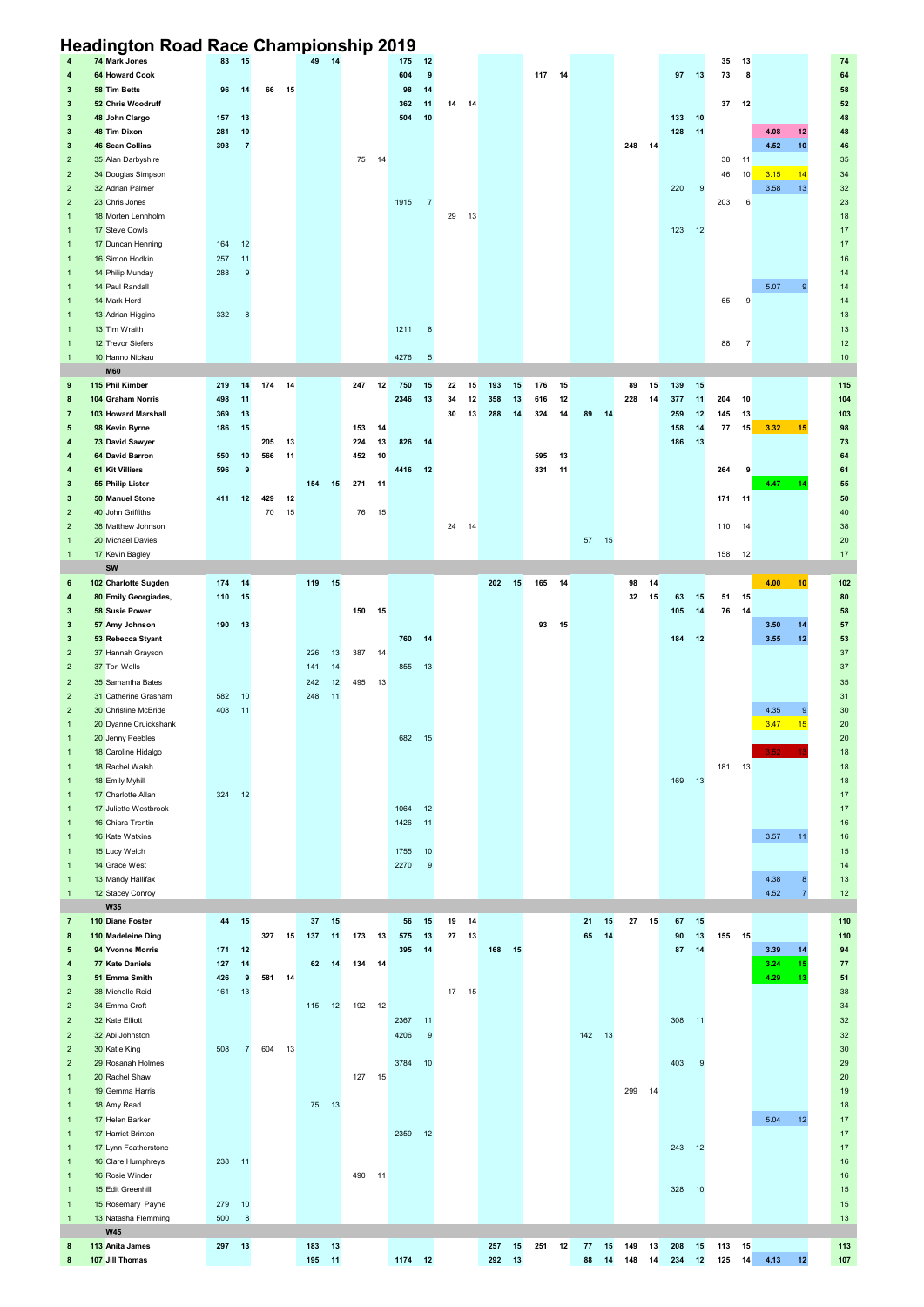## **Headington Road Race Championship 2019**

| 4              | 74 Mark Jones         | 83     | 15             |     |      | 49  | 14    |           | 175       | 12             |       |      |           |        |    |          |        |    |        |    | 35     | 13             |                        | 74              |
|----------------|-----------------------|--------|----------------|-----|------|-----|-------|-----------|-----------|----------------|-------|------|-----------|--------|----|----------|--------|----|--------|----|--------|----------------|------------------------|-----------------|
| 4              | 64 Howard Cook        |        |                |     |      |     |       |           | 604       | 9              |       |      |           | 117 14 |    |          |        |    | 97     | 13 | 73     | 8              |                        | 64              |
| 3              | 58 Tim Betts          | 96     | 14             | 66  | 15   |     |       |           | 98        | 14             |       |      |           |        |    |          |        |    |        |    |        |                |                        | 58              |
| $\mathbf{3}$   | 52 Chris Woodruff     |        |                |     |      |     |       |           | 362       | 11             | 14 14 |      |           |        |    |          |        |    |        |    | 37     | 12             |                        | 52              |
| $\mathbf{3}$   | 48 John Clargo        | 157    | 13             |     |      |     |       |           | 504       | 10             |       |      |           |        |    |          |        |    | 133    | 10 |        |                |                        | 48              |
| 3              | 48 Tim Dixon          | 281    | 10             |     |      |     |       |           |           |                |       |      |           |        |    |          |        |    | 128    | 11 |        |                | 4.08<br>12             | 48              |
| $\mathbf{3}$   | 46 Sean Collins       | 393    | $\overline{7}$ |     |      |     |       |           |           |                |       |      |           |        |    |          | 248 14 |    |        |    |        |                | 4.52<br>10             | 46              |
| $\overline{2}$ | 35 Alan Darbyshire    |        |                |     |      |     |       | 75 14     |           |                |       |      |           |        |    |          |        |    |        |    | 38     | 11             |                        | 35              |
| $\overline{2}$ | 34 Douglas Simpson    |        |                |     |      |     |       |           |           |                |       |      |           |        |    |          |        |    |        |    | 46     | 10             | 3.15<br>14             | 34              |
| $\overline{2}$ | 32 Adrian Palmer      |        |                |     |      |     |       |           |           |                |       |      |           |        |    |          |        |    | 220    | 9  |        |                | 3.58<br>13             | 32              |
| $\overline{2}$ | 23 Chris Jones        |        |                |     |      |     |       |           | 1915      | $\overline{7}$ |       |      |           |        |    |          |        |    |        |    | 203    | 6              |                        | 23              |
| $\overline{1}$ | 18 Morten Lennholm    |        |                |     |      |     |       |           |           |                | 29    | 13   |           |        |    |          |        |    |        |    |        |                |                        | 18              |
| $\overline{1}$ | 17 Steve Cowls        |        |                |     |      |     |       |           |           |                |       |      |           |        |    |          |        |    | 123    | 12 |        |                |                        | 17              |
| $\overline{1}$ | 17 Duncan Henning     | 164    | 12             |     |      |     |       |           |           |                |       |      |           |        |    |          |        |    |        |    |        |                |                        | 17              |
| $\overline{1}$ | 16 Simon Hodkin       | 257    | 11             |     |      |     |       |           |           |                |       |      |           |        |    |          |        |    |        |    |        |                |                        | 16              |
| $\overline{1}$ | 14 Philip Munday      | 288    | 9              |     |      |     |       |           |           |                |       |      |           |        |    |          |        |    |        |    |        |                |                        | 14              |
| $\overline{1}$ | 14 Paul Randall       |        |                |     |      |     |       |           |           |                |       |      |           |        |    |          |        |    |        |    |        |                | 5.07<br>$\mathbf{Q}$   | 14              |
| $\overline{1}$ | 14 Mark Herd          |        |                |     |      |     |       |           |           |                |       |      |           |        |    |          |        |    |        |    | 65     | 9              |                        | 14              |
| $\overline{1}$ | 13 Adrian Higgins     | 332    | 8              |     |      |     |       |           |           |                |       |      |           |        |    |          |        |    |        |    |        |                |                        | 13              |
| $\overline{1}$ | 13 Tim Wraith         |        |                |     |      |     |       |           | 1211      | 8              |       |      |           |        |    |          |        |    |        |    |        |                |                        | 13              |
| $\overline{1}$ | 12 Trevor Siefers     |        |                |     |      |     |       |           |           |                |       |      |           |        |    |          |        |    |        |    | 88     | $\overline{7}$ |                        | 12              |
| $\overline{1}$ | 10 Hanno Nickau       |        |                |     |      |     |       |           | 4276      | $\sqrt{5}$     |       |      |           |        |    |          |        |    |        |    |        |                |                        | $10$            |
|                | <b>M60</b>            |        |                |     |      |     |       |           |           |                |       |      |           |        |    |          |        |    |        |    |        |                |                        |                 |
| 9              | 115 Phil Kimber       | 219    | 14             | 174 | 14   |     |       | 247       | 12<br>750 | 15             | 22    | 15   | 193<br>15 | 176    | 15 |          | 89     | 15 | 139    | 15 |        |                |                        | 115             |
| 8              | 104 Graham Norris     | 498    | 11             |     |      |     |       |           | 2346      | 13             | 34    | 12   | 358<br>13 | 616    | 12 |          | 228    | 14 | 377    | 11 | 204    | 10             |                        | 104             |
| $\overline{7}$ | 103 Howard Marshall   | 369    | 13             |     |      |     |       |           |           |                | 30    | 13   | 288<br>14 | 324    | 14 | 89<br>14 |        |    | 259    | 12 | 145    | 13             |                        | 103             |
| 5              | 98 Kevin Byrne        | 186    | 15             |     |      |     |       | 153       | 14        |                |       |      |           |        |    |          |        |    | 158    | 14 | 77     | 15             | 15<br>3.32             | 98              |
|                | 73 David Sawyer       |        |                | 205 | 13   |     |       | 224       | 13<br>826 | 14             |       |      |           |        |    |          |        |    | 186    | 13 |        |                |                        | 73              |
| 4              | 64 David Barron       | 550    | 10             | 566 |      |     |       | 10        |           |                |       |      |           |        | 13 |          |        |    |        |    |        |                |                        |                 |
| 4              |                       |        |                |     | 11   |     |       | 452       |           |                |       |      |           | 595    |    |          |        |    |        |    |        |                |                        | 64              |
| 4              | 61 Kit Villiers       | 596    | 9              |     |      |     |       |           | 4416      | $-12$          |       |      |           | 831    | 11 |          |        |    |        |    | 264    | 9              |                        | 61              |
| $\mathbf{3}$   | 55 Philip Lister      |        |                |     |      | 154 | 15    | 271 11    |           |                |       |      |           |        |    |          |        |    |        |    |        |                | 4.47<br>14             | 55              |
| $\mathbf{3}$   | 50 Manuel Stone       | 411 12 |                | 429 | 12   |     |       |           |           |                |       |      |           |        |    |          |        |    |        |    | 171 11 |                |                        | 50              |
| $\overline{2}$ | 40 John Griffiths     |        |                | 70  | 15   |     |       | 76 15     |           |                |       |      |           |        |    |          |        |    |        |    |        |                |                        | 40              |
| $\overline{2}$ | 38 Matthew Johnson    |        |                |     |      |     |       |           |           |                | 24    | 14   |           |        |    |          |        |    |        |    | 110    | 14             |                        | 38              |
| $\mathbf{1}$   | 20 Michael Davies     |        |                |     |      |     |       |           |           |                |       |      |           |        |    | 57 15    |        |    |        |    |        |                |                        | 20              |
| -1             | 17 Kevin Bagley       |        |                |     |      |     |       |           |           |                |       |      |           |        |    |          |        |    |        |    | 158    | 12             |                        | 17              |
|                | <b>SW</b>             |        |                |     |      |     |       |           |           |                |       |      |           |        |    |          |        |    |        |    |        |                |                        |                 |
| 6              | 102 Charlotte Sugden  | 174    | 14             |     |      | 119 | 15    |           |           |                |       |      | 202<br>15 | 165 14 |    |          | 98     | 14 |        |    |        |                | 4.00<br>10             | 102             |
| 4              | 80 Emily Georgiades,  | 110    | 15             |     |      |     |       |           |           |                |       |      |           |        |    |          | 32     | 15 | 63     | 15 | 51 15  |                |                        | 80              |
| $\mathbf{3}$   | 58 Susie Power        |        |                |     |      |     |       | 150 15    |           |                |       |      |           |        |    |          |        |    | 105    | 14 | 76     | -14            |                        | 58              |
| $\mathbf{3}$   | 57 Amy Johnson        | 190    | 13             |     |      |     |       |           |           |                |       |      |           | 93     | 15 |          |        |    |        |    |        |                | 3.50<br>14             | 57              |
| $\mathbf{3}$   | 53 Rebecca Styant     |        |                |     |      |     |       |           | 760       | 14             |       |      |           |        |    |          |        |    | 184    | 12 |        |                | 3.55<br>12             | 53              |
| $\overline{2}$ | 37 Hannah Grayson     |        |                |     |      | 226 | 13    | 387<br>14 |           |                |       |      |           |        |    |          |        |    |        |    |        |                |                        | 37              |
|                | 37 Tori Wells         |        |                |     |      | 141 | 14    |           | 855       | 13             |       |      |           |        |    |          |        |    |        |    |        |                |                        | 37              |
| $\overline{2}$ |                       |        |                |     |      |     |       |           |           |                |       |      |           |        |    |          |        |    |        |    |        |                |                        |                 |
| $\overline{2}$ | 35 Samantha Bates     |        |                |     |      | 242 | 12    | 495       | 13        |                |       |      |           |        |    |          |        |    |        |    |        |                |                        | 35              |
| $\overline{2}$ | 31 Catherine Grasham  | 582    | 10             |     |      | 248 | 11    |           |           |                |       |      |           |        |    |          |        |    |        |    |        |                |                        | 31              |
| $\overline{2}$ | 30 Christine McBride  | 408    | 11             |     |      |     |       |           |           |                |       |      |           |        |    |          |        |    |        |    |        |                | 4.35<br>9              | 30              |
| $\overline{1}$ |                       |        |                |     |      |     |       |           |           |                |       |      |           |        |    |          |        |    |        |    |        |                | 15                     |                 |
|                | 20 Dyanne Cruickshank |        |                |     |      |     |       |           |           |                |       |      |           |        |    |          |        |    |        |    |        |                | 3.47                   | $20\,$          |
| $\overline{1}$ | 20 Jenny Peebles      |        |                |     |      |     |       |           | 682       | 15             |       |      |           |        |    |          |        |    |        |    |        |                |                        | $20\,$          |
| $\overline{1}$ | 18 Caroline Hidalgo   |        |                |     |      |     |       |           |           |                |       |      |           |        |    |          |        |    |        |    |        |                | 3.52 <sub>1</sub>      | 18              |
| $\overline{1}$ | 18 Rachel Walsh       |        |                |     |      |     |       |           |           |                |       |      |           |        |    |          |        |    |        |    | 181    | 13             |                        | 18              |
| $\overline{1}$ | 18 Emily Myhill       |        |                |     |      |     |       |           |           |                |       |      |           |        |    |          |        |    | 169    | 13 |        |                |                        | 18              |
| $\overline{1}$ | 17 Charlotte Allan    | 324    | 12             |     |      |     |       |           |           |                |       |      |           |        |    |          |        |    |        |    |        |                |                        | 17              |
| $\overline{1}$ | 17 Juliette Westbrook |        |                |     |      |     |       |           | 1064      | 12             |       |      |           |        |    |          |        |    |        |    |        |                |                        | 17              |
| $\overline{1}$ | 16 Chiara Trentin     |        |                |     |      |     |       |           | 1426      | 11             |       |      |           |        |    |          |        |    |        |    |        |                |                        | $16$            |
| $\overline{1}$ | 16 Kate Watkins       |        |                |     |      |     |       |           |           |                |       |      |           |        |    |          |        |    |        |    |        |                | 3.57<br>11             | 16              |
| $\overline{1}$ | 15 Lucy Welch         |        |                |     |      |     |       |           | 1755      | 10             |       |      |           |        |    |          |        |    |        |    |        |                |                        | $15$            |
| $\overline{1}$ | 14 Grace West         |        |                |     |      |     |       |           | 2270      | 9              |       |      |           |        |    |          |        |    |        |    |        |                |                        | 14              |
| $\overline{1}$ | 13 Mandy Hallifax     |        |                |     |      |     |       |           |           |                |       |      |           |        |    |          |        |    |        |    |        |                | 4.38<br>8              | 13              |
| $\mathbf{1}$   | 12 Stacey Conroy      |        |                |     |      |     |       |           |           |                |       |      |           |        |    |          |        |    |        |    |        |                | 4.52<br>$\overline{7}$ | 12              |
|                | <b>W35</b>            |        |                |     |      |     |       |           |           |                |       |      |           |        |    |          |        |    |        |    |        |                |                        |                 |
| $\overline{7}$ | 110 Diane Foster      | 44     | 15             |     |      | 37  | 15    |           | 56        | 15             | 19    | 14   |           |        |    | 15<br>21 | 27     | 15 | 67     | 15 |        |                |                        | 110             |
| 8              | 110 Madeleine Ding    |        |                | 327 | 15   | 137 | 11    | 173<br>13 | 575       | 13             | 27    | - 13 |           |        |    | 14<br>65 |        |    | 90     | 13 | 155    | 15             |                        | 110             |
| 5              | 94 Yvonne Morris      | 171    | 12             |     |      |     |       |           | 395       | 14             |       |      | 168<br>15 |        |    |          |        |    | 87     | 14 |        |                | 3.39<br>14             | 94              |
| 4              | 77 Kate Daniels       | 127    | 14             |     |      | 62  | 14    | 134 14    |           |                |       |      |           |        |    |          |        |    |        |    |        |                | 15<br>3.24             | 77              |
| $\mathbf{3}$   | 51 Emma Smith         | 426    | 9              | 581 | 14   |     |       |           |           |                |       |      |           |        |    |          |        |    |        |    |        |                | 4.29<br>13             | 51              |
| $\overline{2}$ | 38 Michelle Reid      | 161    | 13             |     |      |     |       |           |           |                | 17 15 |      |           |        |    |          |        |    |        |    |        |                |                        | 38              |
| $\overline{2}$ | 34 Emma Croft         |        |                |     |      | 115 | 12    | 192<br>12 |           |                |       |      |           |        |    |          |        |    |        |    |        |                |                        | 34              |
| $\overline{2}$ | 32 Kate Elliott       |        |                |     |      |     |       |           | 2367      | 11             |       |      |           |        |    |          |        |    | 308    | 11 |        |                |                        | 32              |
| $\overline{2}$ | 32 Abi Johnston       |        |                |     |      |     |       |           | 4206      | 9              |       |      |           |        |    | 142 13   |        |    |        |    |        |                |                        | 32              |
| $\overline{2}$ | 30 Katie King         | 508    | $\overline{7}$ | 604 | - 13 |     |       |           |           |                |       |      |           |        |    |          |        |    |        |    |        |                |                        | 30 <sub>o</sub> |
| $\overline{2}$ | 29 Rosanah Holmes     |        |                |     |      |     |       |           | 3784      | 10             |       |      |           |        |    |          |        |    | 403    | 9  |        |                |                        | 29              |
| $\mathbf{1}$   | 20 Rachel Shaw        |        |                |     |      |     |       | 127 15    |           |                |       |      |           |        |    |          |        |    |        |    |        |                |                        | 20              |
| $\overline{1}$ | 19 Gemma Harris       |        |                |     |      |     |       |           |           |                |       |      |           |        |    |          | 299    | 14 |        |    |        |                |                        | 19              |
| $\overline{1}$ | 18 Amy Read           |        |                |     |      | 75  | 13    |           |           |                |       |      |           |        |    |          |        |    |        |    |        |                |                        | 18              |
| $\overline{1}$ | 17 Helen Barker       |        |                |     |      |     |       |           |           |                |       |      |           |        |    |          |        |    |        |    |        |                | 5.04<br>12             | 17              |
| $\overline{1}$ | 17 Harriet Brinton    |        |                |     |      |     |       |           |           | 2359 12        |       |      |           |        |    |          |        |    |        |    |        |                |                        | 17              |
| $\overline{1}$ | 17 Lynn Featherstone  |        |                |     |      |     |       |           |           |                |       |      |           |        |    |          |        |    | 243 12 |    |        |                |                        | 17              |
| $\overline{1}$ | 16 Clare Humphreys    | 238 11 |                |     |      |     |       |           |           |                |       |      |           |        |    |          |        |    |        |    |        |                |                        | 16              |
| $\overline{1}$ | 16 Rosie Winder       |        |                |     |      |     |       | 490 11    |           |                |       |      |           |        |    |          |        |    |        |    |        |                |                        | 16              |
| $\overline{1}$ | 15 Edit Greenhill     |        |                |     |      |     |       |           |           |                |       |      |           |        |    |          |        |    | 328    | 10 |        |                |                        | $15\,$          |
| $\overline{1}$ | 15 Rosemary Payne     | 279    | 10             |     |      |     |       |           |           |                |       |      |           |        |    |          |        |    |        |    |        |                |                        | 15              |
| $\overline{1}$ | 13 Natasha Flemming   | 500    | 8              |     |      |     |       |           |           |                |       |      |           |        |    |          |        |    |        |    |        |                |                        | 13              |
|                | <b>W45</b>            |        |                |     |      |     |       |           |           |                |       |      |           |        |    |          |        |    |        |    |        |                |                        |                 |
| 8              | 113 Anita James       | 297 13 |                |     |      | 183 | 13    |           |           |                |       |      | 257<br>15 | 251    | 12 | 77<br>15 | 149    | 13 | 208    | 15 | 113 15 |                |                        | $113$           |
| 8              | 107 Jill Thomas       |        |                |     |      | 195 | $-11$ |           |           | 1174 12        |       |      | 292 13    |        |    | 88<br>14 | 148    | 14 | 234    | 12 | 125    | 14             | 4.13<br>12             | 107             |